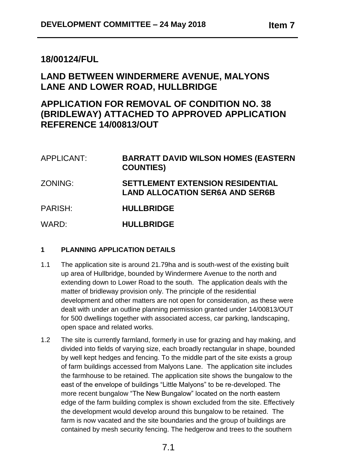# **18/00124/FUL**

# **LAND BETWEEN WINDERMERE AVENUE, MALYONS LANE AND LOWER ROAD, HULLBRIDGE**

# **APPLICATION FOR REMOVAL OF CONDITION NO. 38 (BRIDLEWAY) ATTACHED TO APPROVED APPLICATION REFERENCE 14/00813/OUT**

| APPLICANT: | <b>BARRATT DAVID WILSON HOMES (EASTERN</b><br><b>COUNTIES</b>                     |
|------------|-----------------------------------------------------------------------------------|
| ZONING:    | <b>SETTLEMENT EXTENSION RESIDENTIAL</b><br><b>LAND ALLOCATION SER6A AND SER6B</b> |
| PARISH:    | <b>HULLBRIDGE</b>                                                                 |
| WARD:      | <b>HULLBRIDGE</b>                                                                 |

# **1 PLANNING APPLICATION DETAILS**

- 1.1 The application site is around 21.79ha and is south-west of the existing built up area of Hullbridge, bounded by Windermere Avenue to the north and extending down to Lower Road to the south. The application deals with the matter of bridleway provision only. The principle of the residential development and other matters are not open for consideration, as these were dealt with under an outline planning permission granted under 14/00813/OUT for 500 dwellings together with associated access, car parking, landscaping, open space and related works.
- 1.2 The site is currently farmland, formerly in use for grazing and hay making, and divided into fields of varying size, each broadly rectangular in shape, bounded by well kept hedges and fencing. To the middle part of the site exists a group of farm buildings accessed from Malyons Lane. The application site includes the farmhouse to be retained. The application site shows the bungalow to the east of the envelope of buildings "Little Malyons" to be re-developed. The more recent bungalow "The New Bungalow" located on the north eastern edge of the farm building complex is shown excluded from the site. Effectively the development would develop around this bungalow to be retained. The farm is now vacated and the site boundaries and the group of buildings are contained by mesh security fencing. The hedgerow and trees to the southern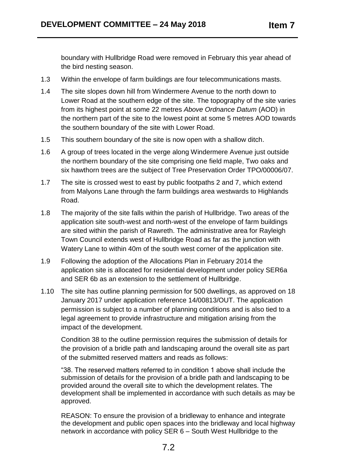boundary with Hullbridge Road were removed in February this year ahead of the bird nesting season.

- 1.3 Within the envelope of farm buildings are four telecommunications masts.
- 1.4 The site slopes down hill from Windermere Avenue to the north down to Lower Road at the southern edge of the site. The topography of the site varies from its highest point at some 22 metres *Above Ordnance Datum* (AOD) in the northern part of the site to the lowest point at some 5 metres AOD towards the southern boundary of the site with Lower Road.
- 1.5 This southern boundary of the site is now open with a shallow ditch.
- 1.6 A group of trees located in the verge along Windermere Avenue just outside the northern boundary of the site comprising one field maple, Two oaks and six hawthorn trees are the subject of Tree Preservation Order TPO/00006/07.
- 1.7 The site is crossed west to east by public footpaths 2 and 7, which extend from Malyons Lane through the farm buildings area westwards to Highlands Road.
- 1.8 The majority of the site falls within the parish of Hullbridge. Two areas of the application site south-west and north-west of the envelope of farm buildings are sited within the parish of Rawreth. The administrative area for Rayleigh Town Council extends west of Hullbridge Road as far as the junction with Watery Lane to within 40m of the south west corner of the application site.
- 1.9 Following the adoption of the Allocations Plan in February 2014 the application site is allocated for residential development under policy SER6a and SER 6b as an extension to the settlement of Hullbridge.
- 1.10 The site has outline planning permission for 500 dwellings, as approved on 18 January 2017 under application reference 14/00813/OUT. The application permission is subject to a number of planning conditions and is also tied to a legal agreement to provide infrastructure and mitigation arising from the impact of the development.

Condition 38 to the outline permission requires the submission of details for the provision of a bridle path and landscaping around the overall site as part of the submitted reserved matters and reads as follows:

"38. The reserved matters referred to in condition 1 above shall include the submission of details for the provision of a bridle path and landscaping to be provided around the overall site to which the development relates. The development shall be implemented in accordance with such details as may be approved.

REASON: To ensure the provision of a bridleway to enhance and integrate the development and public open spaces into the bridleway and local highway network in accordance with policy SER 6 – South West Hullbridge to the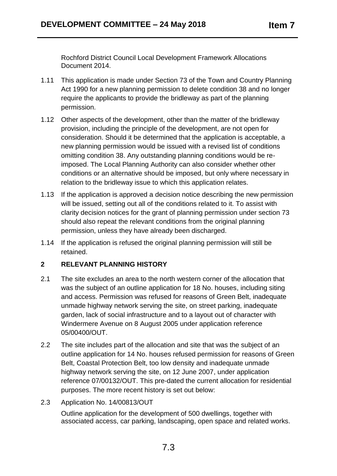Rochford District Council Local Development Framework Allocations Document 2014.

- 1.11 This application is made under Section 73 of the Town and Country Planning Act 1990 for a new planning permission to delete condition 38 and no longer require the applicants to provide the bridleway as part of the planning permission.
- 1.12 Other aspects of the development, other than the matter of the bridleway provision, including the principle of the development, are not open for consideration. Should it be determined that the application is acceptable, a new planning permission would be issued with a revised list of conditions omitting condition 38. Any outstanding planning conditions would be reimposed. The Local Planning Authority can also consider whether other conditions or an alternative should be imposed, but only where necessary in relation to the bridleway issue to which this application relates.
- 1.13 If the application is approved a decision notice describing the new permission will be issued, setting out all of the conditions related to it. To assist with clarity decision notices for the grant of planning permission under section 73 should also repeat the relevant conditions from the original planning permission, unless they have already been discharged.
- 1.14 If the application is refused the original planning permission will still be retained.

# **2 RELEVANT PLANNING HISTORY**

- 2.1 The site excludes an area to the north western corner of the allocation that was the subject of an outline application for 18 No. houses, including siting and access. Permission was refused for reasons of Green Belt, inadequate unmade highway network serving the site, on street parking, inadequate garden, lack of social infrastructure and to a layout out of character with Windermere Avenue on 8 August 2005 under application reference 05/00400/OUT.
- 2.2 The site includes part of the allocation and site that was the subject of an outline application for 14 No. houses refused permission for reasons of Green Belt, Coastal Protection Belt, too low density and inadequate unmade highway network serving the site, on 12 June 2007, under application reference 07/00132/OUT. This pre-dated the current allocation for residential purposes. The more recent history is set out below:
- 2.3 Application No. 14/00813/OUT

Outline application for the development of 500 dwellings, together with associated access, car parking, landscaping, open space and related works.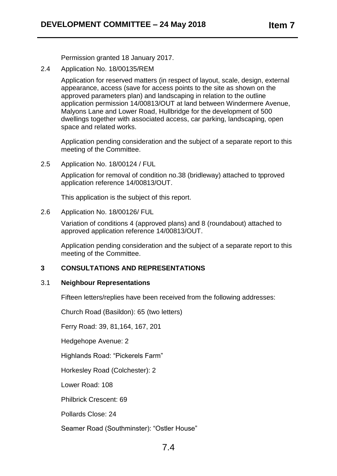Permission granted 18 January 2017.

2.4 Application No. 18/00135/REM

Application for reserved matters (in respect of layout, scale, design, external appearance, access (save for access points to the site as shown on the approved parameters plan) and landscaping in relation to the outline application permission 14/00813/OUT at land between Windermere Avenue, Malyons Lane and Lower Road, Hullbridge for the development of 500 dwellings together with associated access, car parking, landscaping, open space and related works.

Application pending consideration and the subject of a separate report to this meeting of the Committee.

2.5 Application No. 18/00124 / FUL

Application for removal of condition no.38 (bridleway) attached to tpproved application reference 14/00813/OUT.

This application is the subject of this report.

#### 2.6 Application No. 18/00126/ FUL

Variation of conditions 4 (approved plans) and 8 (roundabout) attached to approved application reference 14/00813/OUT.

Application pending consideration and the subject of a separate report to this meeting of the Committee.

#### **3 CONSULTATIONS AND REPRESENTATIONS**

#### 3.1 **Neighbour Representations**

Fifteen letters/replies have been received from the following addresses:

Church Road (Basildon): 65 (two letters)

Ferry Road: 39, 81,164, 167, 201

Hedgehope Avenue: 2

Highlands Road: "Pickerels Farm"

Horkesley Road (Colchester): 2

Lower Road: 108

Philbrick Crescent: 69

Pollards Close: 24

Seamer Road (Southminster): "Ostler House"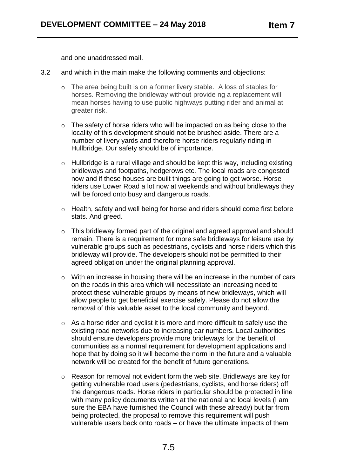and one unaddressed mail.

- 3.2 and which in the main make the following comments and objections:
	- o The area being built is on a former livery stable. A loss of stables for horses. Removing the bridleway without provide ng a replacement will mean horses having to use public highways putting rider and animal at greater risk.
	- o The safety of horse riders who will be impacted on as being close to the locality of this development should not be brushed aside. There are a number of livery yards and therefore horse riders regularly riding in Hullbridge. Our safety should be of importance.
	- o Hullbridge is a rural village and should be kept this way, including existing bridleways and footpaths, hedgerows etc. The local roads are congested now and if these houses are built things are going to get worse. Horse riders use Lower Road a lot now at weekends and without bridleways they will be forced onto busy and dangerous roads.
	- o Health, safety and well being for horse and riders should come first before stats. And greed.
	- o This bridleway formed part of the original and agreed approval and should remain. There is a requirement for more safe bridleways for leisure use by vulnerable groups such as pedestrians, cyclists and horse riders which this bridleway will provide. The developers should not be permitted to their agreed obligation under the original planning approval.
	- o With an increase in housing there will be an increase in the number of cars on the roads in this area which will necessitate an increasing need to protect these vulnerable groups by means of new bridleways, which will allow people to get beneficial exercise safely. Please do not allow the removal of this valuable asset to the local community and beyond.
	- o As a horse rider and cyclist it is more and more difficult to safely use the existing road networks due to increasing car numbers. Local authorities should ensure developers provide more bridleways for the benefit of communities as a normal requirement for development applications and I hope that by doing so it will become the norm in the future and a valuable network will be created for the benefit of future generations.
	- o Reason for removal not evident form the web site. Bridleways are key for getting vulnerable road users (pedestrians, cyclists, and horse riders) off the dangerous roads. Horse riders in particular should be protected in line with many policy documents written at the national and local levels (I am sure the EBA have furnished the Council with these already) but far from being protected, the proposal to remove this requirement will push vulnerable users back onto roads – or have the ultimate impacts of them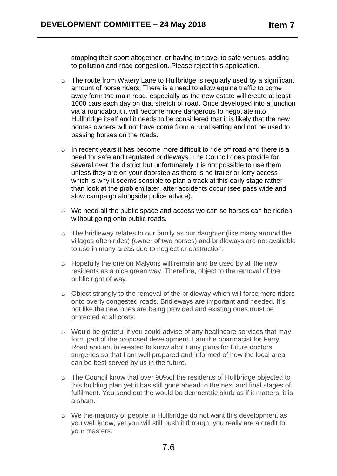stopping their sport altogether, or having to travel to safe venues, adding to pollution and road congestion. Please reject this application.

- o The route from Watery Lane to Hullbridge is regularly used by a significant amount of horse riders. There is a need to allow equine traffic to come away form the main road, especially as the new estate will create at least 1000 cars each day on that stretch of road. Once developed into a junction via a roundabout it will become more dangerous to negotiate into Hullbridge itself and it needs to be considered that it is likely that the new homes owners will not have come from a rural setting and not be used to passing horses on the roads.
- o In recent years it has become more difficult to ride off road and there is a need for safe and regulated bridleways. The Council does provide for several over the district but unfortunately it is not possible to use them unless they are on your doorstep as there is no trailer or lorry access which is why it seems sensible to plan a track at this early stage rather than look at the problem later, after accidents occur (see pass wide and slow campaign alongside police advice).
- o We need all the public space and access we can so horses can be ridden without going onto public roads.
- o The bridleway relates to our family as our daughter (like many around the villages often rides) (owner of two horses) and bridleways are not available to use in many areas due to neglect or obstruction.
- o Hopefully the one on Malyons will remain and be used by all the new residents as a nice green way. Therefore, object to the removal of the public right of way.
- o Object strongly to the removal of the bridleway which will force more riders onto overly congested roads. Bridleways are important and needed. It's not like the new ones are being provided and existing ones must be protected at all costs.
- o Would be grateful if you could advise of any healthcare services that may form part of the proposed development. I am the pharmacist for Ferry Road and am interested to know about any plans for future doctors surgeries so that I am well prepared and informed of how the local area can be best served by us in the future.
- o The Council know that over 90%of the residents of Hullbridge objected to this building plan yet it has still gone ahead to the next and final stages of fulfilment. You send out the would be democratic blurb as if it matters, it is a sham.
- o We the majority of people in Hullbridge do not want this development as you well know, yet you will still push it through, you really are a credit to your masters.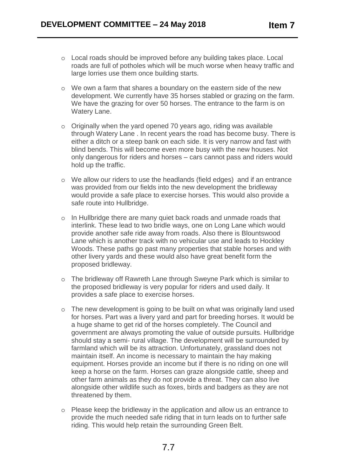- o Local roads should be improved before any building takes place. Local roads are full of potholes which will be much worse when heavy traffic and large lorries use them once building starts.
- o We own a farm that shares a boundary on the eastern side of the new development. We currently have 35 horses stabled or grazing on the farm. We have the grazing for over 50 horses. The entrance to the farm is on Watery Lane.
- o Originally when the yard opened 70 years ago, riding was available through Watery Lane . In recent years the road has become busy. There is either a ditch or a steep bank on each side. It is very narrow and fast with blind bends. This will become even more busy with the new houses. Not only dangerous for riders and horses – cars cannot pass and riders would hold up the traffic.
- o We allow our riders to use the headlands (field edges) and if an entrance was provided from our fields into the new development the bridleway would provide a safe place to exercise horses. This would also provide a safe route into Hullbridge.
- o In Hullbridge there are many quiet back roads and unmade roads that interlink. These lead to two bridle ways, one on Long Lane which would provide another safe ride away from roads. Also there is Blountswood Lane which is another track with no vehicular use and leads to Hockley Woods. These paths go past many properties that stable horses and with other livery yards and these would also have great benefit form the proposed bridleway.
- o The bridleway off Rawreth Lane through Sweyne Park which is similar to the proposed bridleway is very popular for riders and used daily. It provides a safe place to exercise horses.
- o The new development is going to be built on what was originally land used for horses. Part was a livery yard and part for breeding horses. It would be a huge shame to get rid of the horses completely. The Council and government are always promoting the value of outside pursuits. Hullbridge should stay a semi- rural village. The development will be surrounded by farmland which will be its attraction. Unfortunately, grassland does not maintain itself. An income is necessary to maintain the hay making equipment. Horses provide an income but if there is no riding on one will keep a horse on the farm. Horses can graze alongside cattle, sheep and other farm animals as they do not provide a threat. They can also live alongside other wildlife such as foxes, birds and badgers as they are not threatened by them.
- o Please keep the bridleway in the application and allow us an entrance to provide the much needed safe riding that in turn leads on to further safe riding. This would help retain the surrounding Green Belt.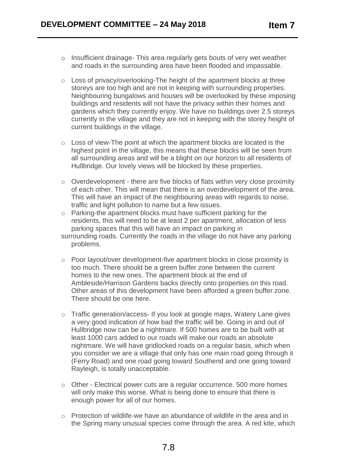- o Insufficient drainage- This area regularly gets bouts of very wet weather and roads in the surrounding area have been flooded and impassable.
- o Loss of privacy/overlooking-The height of the apartment blocks at three storeys are too high and are not in keeping with surrounding properties. Neighbouring bungalows and houses will be overlooked by these imposing buildings and residents will not have the privacy within their homes and gardens which they currently enjoy. We have no buildings over 2.5 storeys currently in the village and they are not in keeping with the storey height of current buildings in the village.
- o Loss of view-The point at which the apartment blocks are located is the highest point in the village, this means that these blocks will be seen from all surrounding areas and will be a blight on our horizon to all residents of Hullbridge. Our lovely views will be blocked by these properties.
- o Overdevelopment there are five blocks of flats within very close proximity of each other. This will mean that there is an overdevelopment of the area. This will have an impact of the neighbouring areas with regards to noise, traffic and light pollution to name but a few issues.
- o Parking-the apartment blocks must have sufficient parking for the residents, this will need to be at least 2 per apartment, allocation of less parking spaces that this will have an impact on parking in
- surrounding roads. Currently the roads in the village do not have any parking problems.
- o Poor layout/over development-five apartment blocks in close proximity is too much. There should be a green buffer zone between the current homes to the new ones. The apartment block at the end of Ambleside/Harrison Gardens backs directly onto properties on this road. Other areas of this development have been afforded a green buffer zone. There should be one here.
- o Traffic generation/access- If you look at google maps, Watery Lane gives a very good indication of how bad the traffic will be. Going in and out of Hullbridge now can be a nightmare. If 500 homes are to be built with at least 1000 cars added to our roads will make our roads an absolute nightmare. We will have gridlocked roads on a regular basis, which when you consider we are a village that only has one main road going through it (Ferry Road) and one road going toward Southend and one going toward Rayleigh, is totally unacceptable.
- o Other Electrical power cuts are a regular occurrence. 500 more homes will only make this worse. What is being done to ensure that there is enough power for all of our homes.
- o Protection of wildlife-we have an abundance of wildlife in the area and in the Spring many unusual species come through the area. A red kite, which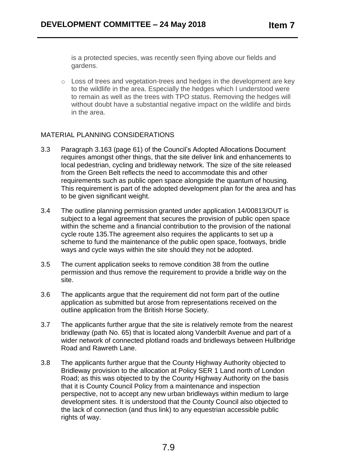is a protected species, was recently seen flying above our fields and gardens.

o Loss of trees and vegetation-trees and hedges in the development are key to the wildlife in the area. Especially the hedges which I understood were to remain as well as the trees with TPO status. Removing the hedges will without doubt have a substantial negative impact on the wildlife and birds in the area.

# MATERIAL PLANNING CONSIDERATIONS

- 3.3 Paragraph 3.163 (page 61) of the Council's Adopted Allocations Document requires amongst other things, that the site deliver link and enhancements to local pedestrian, cycling and bridleway network. The size of the site released from the Green Belt reflects the need to accommodate this and other requirements such as public open space alongside the quantum of housing. This requirement is part of the adopted development plan for the area and has to be given significant weight.
- 3.4 The outline planning permission granted under application 14/00813/OUT is subject to a legal agreement that secures the provision of public open space within the scheme and a financial contribution to the provision of the national cycle route 135.The agreement also requires the applicants to set up a scheme to fund the maintenance of the public open space, footways, bridle ways and cycle ways within the site should they not be adopted.
- 3.5 The current application seeks to remove condition 38 from the outline permission and thus remove the requirement to provide a bridle way on the site.
- 3.6 The applicants argue that the requirement did not form part of the outline application as submitted but arose from representations received on the outline application from the British Horse Society.
- 3.7 The applicants further argue that the site is relatively remote from the nearest bridleway (path No. 65) that is located along Vanderbilt Avenue and part of a wider network of connected plotland roads and bridleways between Hullbridge Road and Rawreth Lane.
- 3.8 The applicants further argue that the County Highway Authority objected to Bridleway provision to the allocation at Policy SER 1 Land north of London Road; as this was objected to by the County Highway Authority on the basis that it is County Council Policy from a maintenance and inspection perspective, not to accept any new urban bridleways within medium to large development sites. It is understood that the County Council also objected to the lack of connection (and thus link) to any equestrian accessible public rights of way.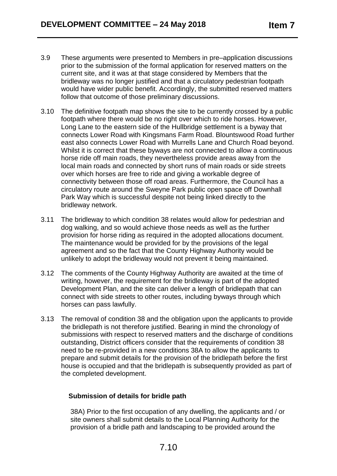- 3.9 These arguments were presented to Members in pre–application discussions prior to the submission of the formal application for reserved matters on the current site, and it was at that stage considered by Members that the bridleway was no longer justified and that a circulatory pedestrian footpath would have wider public benefit. Accordingly, the submitted reserved matters follow that outcome of those preliminary discussions.
- 3.10 The definitive footpath map shows the site to be currently crossed by a public footpath where there would be no right over which to ride horses. However, Long Lane to the eastern side of the Hullbridge settlement is a byway that connects Lower Road with Kingsmans Farm Road. Blountswood Road further east also connects Lower Road with Murrells Lane and Church Road beyond. Whilst it is correct that these byways are not connected to allow a continuous horse ride off main roads, they nevertheless provide areas away from the local main roads and connected by short runs of main roads or side streets over which horses are free to ride and giving a workable degree of connectivity between those off road areas. Furthermore, the Council has a circulatory route around the Sweyne Park public open space off Downhall Park Way which is successful despite not being linked directly to the bridleway network.
- 3.11 The bridleway to which condition 38 relates would allow for pedestrian and dog walking, and so would achieve those needs as well as the further provision for horse riding as required in the adopted allocations document. The maintenance would be provided for by the provisions of the legal agreement and so the fact that the County Highway Authority would be unlikely to adopt the bridleway would not prevent it being maintained.
- 3.12 The comments of the County Highway Authority are awaited at the time of writing, however, the requirement for the bridleway is part of the adopted Development Plan, and the site can deliver a length of bridlepath that can connect with side streets to other routes, including byways through which horses can pass lawfully.
- 3.13 The removal of condition 38 and the obligation upon the applicants to provide the bridlepath is not therefore justified. Bearing in mind the chronology of submissions with respect to reserved matters and the discharge of conditions outstanding, District officers consider that the requirements of condition 38 need to be re-provided in a new conditions 38A to allow the applicants to prepare and submit details for the provision of the bridlepath before the first house is occupied and that the bridlepath is subsequently provided as part of the completed development.

# **Submission of details for bridle path**

38A) Prior to the first occupation of any dwelling, the applicants and / or site owners shall submit details to the Local Planning Authority for the provision of a bridle path and landscaping to be provided around the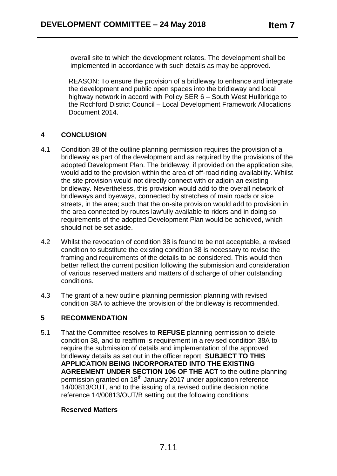overall site to which the development relates. The development shall be implemented in accordance with such details as may be approved.

REASON: To ensure the provision of a bridleway to enhance and integrate the development and public open spaces into the bridleway and local highway network in accord with Policy SER 6 – South West Hullbridge to the Rochford District Council – Local Development Framework Allocations Document 2014.

# **4 CONCLUSION**

- 4.1 Condition 38 of the outline planning permission requires the provision of a bridleway as part of the development and as required by the provisions of the adopted Development Plan. The bridleway, if provided on the application site, would add to the provision within the area of off-road riding availability. Whilst the site provision would not directly connect with or adjoin an existing bridleway. Nevertheless, this provision would add to the overall network of bridleways and byeways, connected by stretches of main roads or side streets, in the area; such that the on-site provision would add to provision in the area connected by routes lawfully available to riders and in doing so requirements of the adopted Development Plan would be achieved, which should not be set aside.
- 4.2 Whilst the revocation of condition 38 is found to be not acceptable, a revised condition to substitute the existing condition 38 is necessary to revise the framing and requirements of the details to be considered. This would then better reflect the current position following the submission and consideration of various reserved matters and matters of discharge of other outstanding conditions.
- 4.3 The grant of a new outline planning permission planning with revised condition 38A to achieve the provision of the bridleway is recommended.

# **5 RECOMMENDATION**

5.1 That the Committee resolves to **REFUSE** planning permission to delete condition 38, and to reaffirm is requirement in a revised condition 38A to require the submission of details and implementation of the approved bridleway details as set out in the officer report **SUBJECT TO THIS APPLICATION BEING INCORPORATED INTO THE EXISTING AGREEMENT UNDER SECTION 106 OF THE ACT** to the outline planning permission granted on 18<sup>th</sup> January 2017 under application reference 14/00813/OUT, and to the issuing of a revised outline decision notice reference 14/00813/OUT/B setting out the following conditions;

# **Reserved Matters**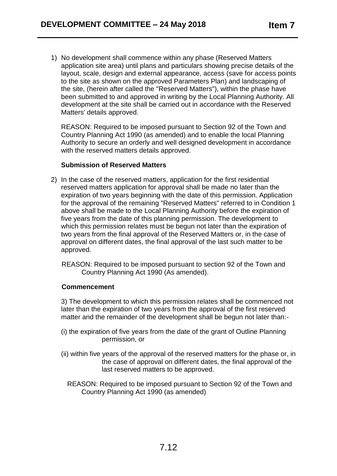1) No development shall commence within any phase (Reserved Matters application site area) until plans and particulars showing precise details of the layout, scale, design and external appearance, access (save for access points to the site as shown on the approved Parameters Plan) and landscaping of the site, (herein after called the "Reserved Matters"), within the phase have been submitted to and approved in writing by the Local Planning Authority. All development at the site shall be carried out in accordance with the Reserved Matters' details approved.

REASON: Required to be imposed pursuant to Section 92 of the Town and Country Planning Act 1990 (as amended) and to enable the local Planning Authority to secure an orderly and well designed development in accordance with the reserved matters details approved.

#### **Submission of Reserved Matters**

2) In the case of the reserved matters, application for the first residential reserved matters application for approval shall be made no later than the expiration of two years beginning with the date of this permission. Application for the approval of the remaining "Reserved Matters" referred to in Condition 1 above shall be made to the Local Planning Authority before the expiration of five years from the date of this planning permission. The development to which this permission relates must be begun not later than the expiration of two years from the final approval of the Reserved Matters or, in the case of approval on different dates, the final approval of the last such matter to be approved.

 REASON: Required to be imposed pursuant to section 92 of the Town and Country Planning Act 1990 (As amended).

#### **Commencement**

3) The development to which this permission relates shall be commenced not later than the expiration of two years from the approval of the first reserved matter and the remainder of the development shall be begun not later than:-

- (i) the expiration of five years from the date of the grant of Outline Planning permission, or
- (ii) within five years of the approval of the reserved matters for the phase or, in the case of approval on different dates, the final approval of the last reserved matters to be approved.
	- REASON: Required to be imposed pursuant to Section 92 of the Town and Country Planning Act 1990 (as amended)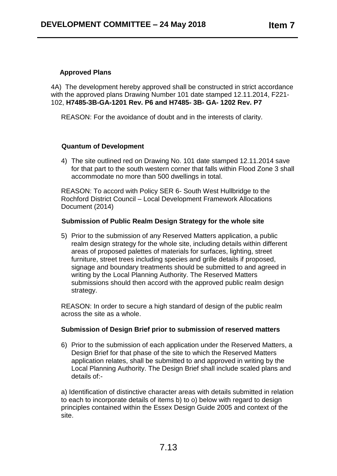# **Approved Plans**

4A) The development hereby approved shall be constructed in strict accordance with the approved plans Drawing Number 101 date stamped 12.11.2014, F221- 102, **H7485-3B-GA-1201 Rev. P6 and H7485- 3B- GA- 1202 Rev. P7**

REASON: For the avoidance of doubt and in the interests of clarity.

#### **Quantum of Development**

4) The site outlined red on Drawing No. 101 date stamped 12.11.2014 save for that part to the south western corner that falls within Flood Zone 3 shall accommodate no more than 500 dwellings in total.

REASON: To accord with Policy SER 6- South West Hullbridge to the Rochford District Council – Local Development Framework Allocations Document (2014)

#### **Submission of Public Realm Design Strategy for the whole site**

5) Prior to the submission of any Reserved Matters application, a public realm design strategy for the whole site, including details within different areas of proposed palettes of materials for surfaces, lighting, street furniture, street trees including species and grille details if proposed, signage and boundary treatments should be submitted to and agreed in writing by the Local Planning Authority. The Reserved Matters submissions should then accord with the approved public realm design strategy.

REASON: In order to secure a high standard of design of the public realm across the site as a whole.

#### **Submission of Design Brief prior to submission of reserved matters**

6) Prior to the submission of each application under the Reserved Matters, a Design Brief for that phase of the site to which the Reserved Matters application relates, shall be submitted to and approved in writing by the Local Planning Authority. The Design Brief shall include scaled plans and details of:-

a) Identification of distinctive character areas with details submitted in relation to each to incorporate details of items b) to o) below with regard to design principles contained within the Essex Design Guide 2005 and context of the site.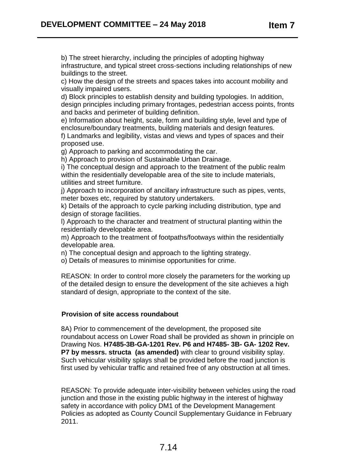b) The street hierarchy, including the principles of adopting highway infrastructure, and typical street cross-sections including relationships of new buildings to the street.

c) How the design of the streets and spaces takes into account mobility and visually impaired users.

d) Block principles to establish density and building typologies. In addition, design principles including primary frontages, pedestrian access points, fronts and backs and perimeter of building definition.

e) Information about height, scale, form and building style, level and type of enclosure/boundary treatments, building materials and design features.

f) Landmarks and legibility, vistas and views and types of spaces and their proposed use.

g) Approach to parking and accommodating the car.

h) Approach to provision of Sustainable Urban Drainage.

i) The conceptual design and approach to the treatment of the public realm within the residentially developable area of the site to include materials, utilities and street furniture.

j) Approach to incorporation of ancillary infrastructure such as pipes, vents, meter boxes etc, required by statutory undertakers.

k) Details of the approach to cycle parking including distribution, type and design of storage facilities.

l) Approach to the character and treatment of structural planting within the residentially developable area.

m) Approach to the treatment of footpaths/footways within the residentially developable area.

n) The conceptual design and approach to the lighting strategy.

o) Details of measures to minimise opportunities for crime.

REASON: In order to control more closely the parameters for the working up of the detailed design to ensure the development of the site achieves a high standard of design, appropriate to the context of the site.

#### **Provision of site access roundabout**

8A) Prior to commencement of the development, the proposed site roundabout access on Lower Road shall be provided as shown in principle on Drawing Nos. **H7485-3B-GA-1201 Rev. P6 and H7485- 3B- GA- 1202 Rev. P7 by messrs. structa (as amended)** with clear to ground visibility splay. Such vehicular visibility splays shall be provided before the road junction is first used by vehicular traffic and retained free of any obstruction at all times.

REASON: To provide adequate inter-visibility between vehicles using the road junction and those in the existing public highway in the interest of highway safety in accordance with policy DM1 of the Development Management Policies as adopted as County Council Supplementary Guidance in February 2011.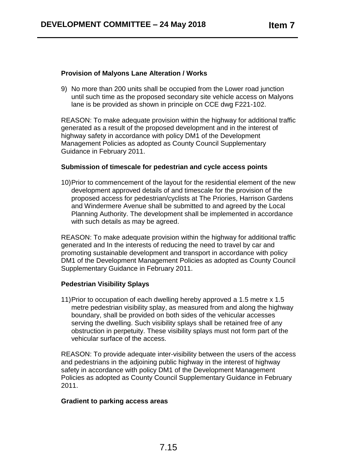## **Provision of Malyons Lane Alteration / Works**

9) No more than 200 units shall be occupied from the Lower road junction until such time as the proposed secondary site vehicle access on Malyons lane is be provided as shown in principle on CCE dwg F221-102.

REASON: To make adequate provision within the highway for additional traffic generated as a result of the proposed development and in the interest of highway safety in accordance with policy DM1 of the Development Management Policies as adopted as County Council Supplementary Guidance in February 2011.

# **Submission of timescale for pedestrian and cycle access points**

10)Prior to commencement of the layout for the residential element of the new development approved details of and timescale for the provision of the proposed access for pedestrian/cyclists at The Priories, Harrison Gardens and Windermere Avenue shall be submitted to and agreed by the Local Planning Authority. The development shall be implemented in accordance with such details as may be agreed.

REASON: To make adequate provision within the highway for additional traffic generated and In the interests of reducing the need to travel by car and promoting sustainable development and transport in accordance with policy DM1 of the Development Management Policies as adopted as County Council Supplementary Guidance in February 2011.

#### **Pedestrian Visibility Splays**

11)Prior to occupation of each dwelling hereby approved a 1.5 metre x 1.5 metre pedestrian visibility splay, as measured from and along the highway boundary, shall be provided on both sides of the vehicular accesses serving the dwelling. Such visibility splays shall be retained free of any obstruction in perpetuity. These visibility splays must not form part of the vehicular surface of the access.

REASON: To provide adequate inter-visibility between the users of the access and pedestrians in the adjoining public highway in the interest of highway safety in accordance with policy DM1 of the Development Management Policies as adopted as County Council Supplementary Guidance in February 2011.

#### **Gradient to parking access areas**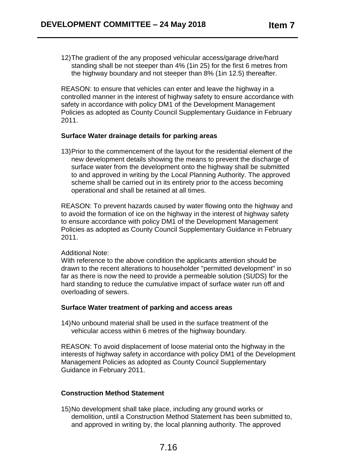12)The gradient of the any proposed vehicular access/garage drive/hard standing shall be not steeper than 4% (1in 25) for the first 6 metres from the highway boundary and not steeper than 8% (1in 12.5) thereafter.

REASON: to ensure that vehicles can enter and leave the highway in a controlled manner in the interest of highway safety to ensure accordance with safety in accordance with policy DM1 of the Development Management Policies as adopted as County Council Supplementary Guidance in February 2011.

#### **Surface Water drainage details for parking areas**

13)Prior to the commencement of the layout for the residential element of the new development details showing the means to prevent the discharge of surface water from the development onto the highway shall be submitted to and approved in writing by the Local Planning Authority. The approved scheme shall be carried out in its entirety prior to the access becoming operational and shall be retained at all times.

REASON: To prevent hazards caused by water flowing onto the highway and to avoid the formation of ice on the highway in the interest of highway safety to ensure accordance with policy DM1 of the Development Management Policies as adopted as County Council Supplementary Guidance in February 2011.

#### Additional Note:

With reference to the above condition the applicants attention should be drawn to the recent alterations to householder "permitted development" in so far as there is now the need to provide a permeable solution (SUDS) for the hard standing to reduce the cumulative impact of surface water run off and overloading of sewers.

#### **Surface Water treatment of parking and access areas**

14)No unbound material shall be used in the surface treatment of the vehicular access within 6 metres of the highway boundary.

REASON: To avoid displacement of loose material onto the highway in the interests of highway safety in accordance with policy DM1 of the Development Management Policies as adopted as County Council Supplementary Guidance in February 2011.

#### **Construction Method Statement**

15)No development shall take place, including any ground works or demolition, until a Construction Method Statement has been submitted to, and approved in writing by, the local planning authority. The approved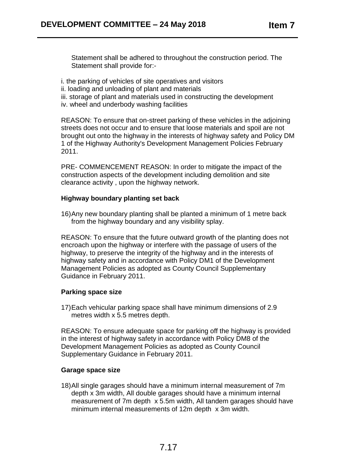Statement shall be adhered to throughout the construction period. The Statement shall provide for:-

- i. the parking of vehicles of site operatives and visitors
- ii. loading and unloading of plant and materials
- iii. storage of plant and materials used in constructing the development
- iv. wheel and underbody washing facilities

REASON: To ensure that on-street parking of these vehicles in the adjoining streets does not occur and to ensure that loose materials and spoil are not brought out onto the highway in the interests of highway safety and Policy DM 1 of the Highway Authority's Development Management Policies February 2011.

PRE- COMMENCEMENT REASON: In order to mitigate the impact of the construction aspects of the development including demolition and site clearance activity , upon the highway network.

#### **Highway boundary planting set back**

16)Any new boundary planting shall be planted a minimum of 1 metre back from the highway boundary and any visibility splay.

REASON: To ensure that the future outward growth of the planting does not encroach upon the highway or interfere with the passage of users of the highway, to preserve the integrity of the highway and in the interests of highway safety and in accordance with Policy DM1 of the Development Management Policies as adopted as County Council Supplementary Guidance in February 2011.

#### **Parking space size**

17)Each vehicular parking space shall have minimum dimensions of 2.9 metres width x 5.5 metres depth.

REASON: To ensure adequate space for parking off the highway is provided in the interest of highway safety in accordance with Policy DM8 of the Development Management Policies as adopted as County Council Supplementary Guidance in February 2011.

#### **Garage space size**

18)All single garages should have a minimum internal measurement of 7m depth x 3m width, All double garages should have a minimum internal measurement of 7m depth x 5.5m width, All tandem garages should have minimum internal measurements of 12m depth x 3m width.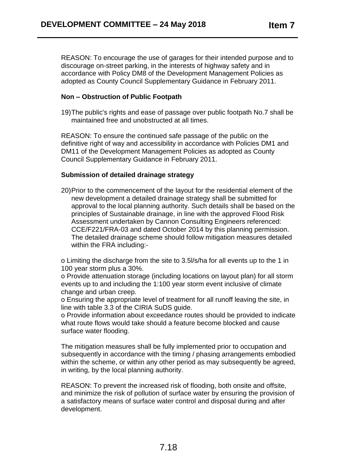REASON: To encourage the use of garages for their intended purpose and to discourage on-street parking, in the interests of highway safety and in accordance with Policy DM8 of the Development Management Policies as adopted as County Council Supplementary Guidance in February 2011.

# **Non – Obstruction of Public Footpath**

19)The public's rights and ease of passage over public footpath No.7 shall be maintained free and unobstructed at all times.

REASON: To ensure the continued safe passage of the public on the definitive right of way and accessibility in accordance with Policies DM1 and DM11 of the Development Management Policies as adopted as County Council Supplementary Guidance in February 2011.

# **Submission of detailed drainage strategy**

20)Prior to the commencement of the layout for the residential element of the new development a detailed drainage strategy shall be submitted for approval to the local planning authority. Such details shall be based on the principles of Sustainable drainage, in line with the approved Flood Risk Assessment undertaken by Cannon Consulting Engineers referenced: CCE/F221/FRA-03 and dated October 2014 by this planning permission. The detailed drainage scheme should follow mitigation measures detailed within the FRA including:-

o Limiting the discharge from the site to 3.5l/s/ha for all events up to the 1 in 100 year storm plus a 30%.

o Provide attenuation storage (including locations on layout plan) for all storm events up to and including the 1:100 year storm event inclusive of climate change and urban creep.

o Ensuring the appropriate level of treatment for all runoff leaving the site, in line with table 3.3 of the CIRIA SuDS guide.

o Provide information about exceedance routes should be provided to indicate what route flows would take should a feature become blocked and cause surface water flooding.

The mitigation measures shall be fully implemented prior to occupation and subsequently in accordance with the timing / phasing arrangements embodied within the scheme, or within any other period as may subsequently be agreed, in writing, by the local planning authority.

REASON: To prevent the increased risk of flooding, both onsite and offsite, and minimize the risk of pollution of surface water by ensuring the provision of a satisfactory means of surface water control and disposal during and after development.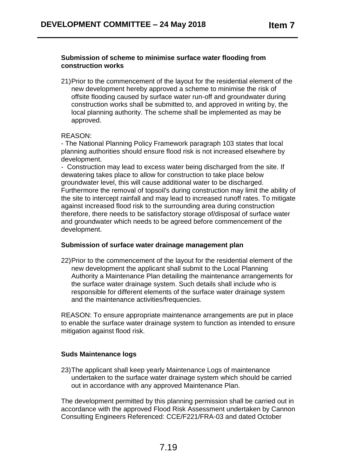#### **Submission of scheme to minimise surface water flooding from construction works**

21)Prior to the commencement of the layout for the residential element of the new development hereby approved a scheme to minimise the risk of offsite flooding caused by surface water run-off and groundwater during construction works shall be submitted to, and approved in writing by, the local planning authority. The scheme shall be implemented as may be approved.

#### REASON:

- The National Planning Policy Framework paragraph 103 states that local planning authorities should ensure flood risk is not increased elsewhere by development.

- Construction may lead to excess water being discharged from the site. If dewatering takes place to allow for construction to take place below groundwater level, this will cause additional water to be discharged. Furthermore the removal of topsoil's during construction may limit the ability of the site to intercept rainfall and may lead to increased runoff rates. To mitigate against increased flood risk to the surrounding area during construction therefore, there needs to be satisfactory storage of/disposal of surface water and groundwater which needs to be agreed before commencement of the development.

#### **Submission of surface water drainage management plan**

22)Prior to the commencement of the layout for the residential element of the new development the applicant shall submit to the Local Planning Authority a Maintenance Plan detailing the maintenance arrangements for the surface water drainage system. Such details shall include who is responsible for different elements of the surface water drainage system and the maintenance activities/frequencies.

REASON: To ensure appropriate maintenance arrangements are put in place to enable the surface water drainage system to function as intended to ensure mitigation against flood risk.

#### **Suds Maintenance logs**

23)The applicant shall keep yearly Maintenance Logs of maintenance undertaken to the surface water drainage system which should be carried out in accordance with any approved Maintenance Plan.

The development permitted by this planning permission shall be carried out in accordance with the approved Flood Risk Assessment undertaken by Cannon Consulting Engineers Referenced: CCE/F221/FRA-03 and dated October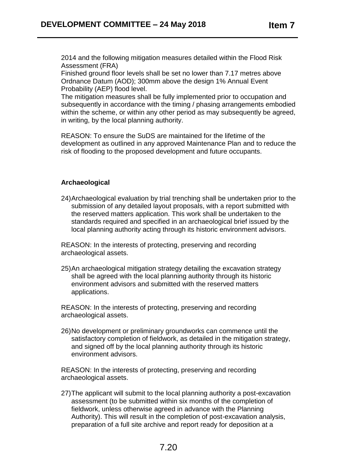2014 and the following mitigation measures detailed within the Flood Risk Assessment (FRA)

Finished ground floor levels shall be set no lower than 7.17 metres above Ordnance Datum (AOD); 300mm above the design 1% Annual Event Probability (AEP) flood level.

The mitigation measures shall be fully implemented prior to occupation and subsequently in accordance with the timing / phasing arrangements embodied within the scheme, or within any other period as may subsequently be agreed, in writing, by the local planning authority.

REASON: To ensure the SuDS are maintained for the lifetime of the development as outlined in any approved Maintenance Plan and to reduce the risk of flooding to the proposed development and future occupants.

#### **Archaeological**

24)Archaeological evaluation by trial trenching shall be undertaken prior to the submission of any detailed layout proposals, with a report submitted with the reserved matters application. This work shall be undertaken to the standards required and specified in an archaeological brief issued by the local planning authority acting through its historic environment advisors.

REASON: In the interests of protecting, preserving and recording archaeological assets.

25)An archaeological mitigation strategy detailing the excavation strategy shall be agreed with the local planning authority through its historic environment advisors and submitted with the reserved matters applications.

REASON: In the interests of protecting, preserving and recording archaeological assets.

26)No development or preliminary groundworks can commence until the satisfactory completion of fieldwork, as detailed in the mitigation strategy, and signed off by the local planning authority through its historic environment advisors.

REASON: In the interests of protecting, preserving and recording archaeological assets.

27)The applicant will submit to the local planning authority a post-excavation assessment (to be submitted within six months of the completion of fieldwork, unless otherwise agreed in advance with the Planning Authority). This will result in the completion of post-excavation analysis, preparation of a full site archive and report ready for deposition at a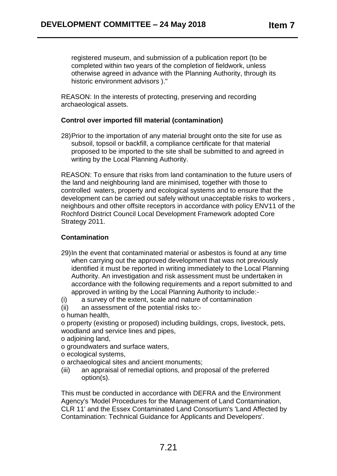registered museum, and submission of a publication report (to be completed within two years of the completion of fieldwork, unless otherwise agreed in advance with the Planning Authority, through its historic environment advisors )."

REASON: In the interests of protecting, preserving and recording archaeological assets.

# **Control over imported fill material (contamination)**

28)Prior to the importation of any material brought onto the site for use as subsoil, topsoil or backfill, a compliance certificate for that material proposed to be imported to the site shall be submitted to and agreed in writing by the Local Planning Authority.

REASON: To ensure that risks from land contamination to the future users of the land and neighbouring land are minimised, together with those to controlled waters, property and ecological systems and to ensure that the development can be carried out safely without unacceptable risks to workers , neighbours and other offsite receptors in accordance with policy ENV11 of the Rochford District Council Local Development Framework adopted Core Strategy 2011.

# **Contamination**

- 29)In the event that contaminated material or asbestos is found at any time when carrying out the approved development that was not previously identified it must be reported in writing immediately to the Local Planning Authority. An investigation and risk assessment must be undertaken in accordance with the following requirements and a report submitted to and approved in writing by the Local Planning Authority to include:-
- (i) a survey of the extent, scale and nature of contamination
- (ii) an assessment of the potential risks to:-

o human health,

o property (existing or proposed) including buildings, crops, livestock, pets, woodland and service lines and pipes,

- o adjoining land,
- o groundwaters and surface waters,

o ecological systems,

o archaeological sites and ancient monuments;

(iii) an appraisal of remedial options, and proposal of the preferred option(s).

This must be conducted in accordance with DEFRA and the Environment Agency's 'Model Procedures for the Management of Land Contamination, CLR 11' and the Essex Contaminated Land Consortium's 'Land Affected by Contamination: Technical Guidance for Applicants and Developers'.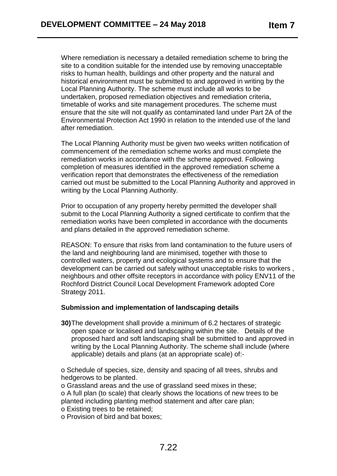Where remediation is necessary a detailed remediation scheme to bring the site to a condition suitable for the intended use by removing unacceptable risks to human health, buildings and other property and the natural and historical environment must be submitted to and approved in writing by the Local Planning Authority. The scheme must include all works to be undertaken, proposed remediation objectives and remediation criteria, timetable of works and site management procedures. The scheme must ensure that the site will not qualify as contaminated land under Part 2A of the Environmental Protection Act 1990 in relation to the intended use of the land after remediation.

The Local Planning Authority must be given two weeks written notification of commencement of the remediation scheme works and must complete the remediation works in accordance with the scheme approved. Following completion of measures identified in the approved remediation scheme a verification report that demonstrates the effectiveness of the remediation carried out must be submitted to the Local Planning Authority and approved in writing by the Local Planning Authority.

Prior to occupation of any property hereby permitted the developer shall submit to the Local Planning Authority a signed certificate to confirm that the remediation works have been completed in accordance with the documents and plans detailed in the approved remediation scheme.

REASON: To ensure that risks from land contamination to the future users of the land and neighbouring land are minimised, together with those to controlled waters, property and ecological systems and to ensure that the development can be carried out safely without unacceptable risks to workers , neighbours and other offsite receptors in accordance with policy ENV11 of the Rochford District Council Local Development Framework adopted Core Strategy 2011.

#### **Submission and implementation of landscaping details**

**30)**The development shall provide a minimum of 6.2 hectares of strategic open space or localised and landscaping within the site. Details of the proposed hard and soft landscaping shall be submitted to and approved in writing by the Local Planning Authority. The scheme shall include (where applicable) details and plans (at an appropriate scale) of:-

o Schedule of species, size, density and spacing of all trees, shrubs and hedgerows to be planted.

o Grassland areas and the use of grassland seed mixes in these;

o A full plan (to scale) that clearly shows the locations of new trees to be planted including planting method statement and after care plan;

o Existing trees to be retained;

o Provision of bird and bat boxes;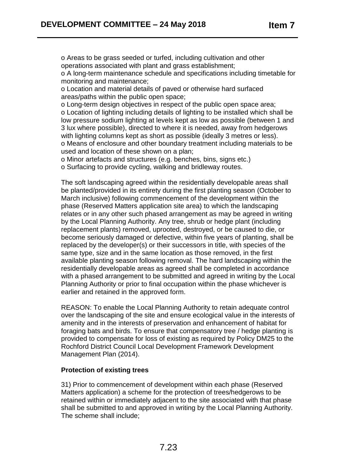o Areas to be grass seeded or turfed, including cultivation and other operations associated with plant and grass establishment;

o A long-term maintenance schedule and specifications including timetable for monitoring and maintenance;

o Location and material details of paved or otherwise hard surfaced areas/paths within the public open space;

o Long-term design objectives in respect of the public open space area; o Location of lighting including details of lighting to be installed which shall be low pressure sodium lighting at levels kept as low as possible (between 1 and 3 lux where possible), directed to where it is needed, away from hedgerows with lighting columns kept as short as possible (ideally 3 metres or less). o Means of enclosure and other boundary treatment including materials to be used and location of these shown on a plan;

o Minor artefacts and structures (e.g. benches, bins, signs etc.)

o Surfacing to provide cycling, walking and bridleway routes.

The soft landscaping agreed within the residentially developable areas shall be planted/provided in its entirety during the first planting season (October to March inclusive) following commencement of the development within the phase (Reserved Matters application site area) to which the landscaping relates or in any other such phased arrangement as may be agreed in writing by the Local Planning Authority. Any tree, shrub or hedge plant (including replacement plants) removed, uprooted, destroyed, or be caused to die, or become seriously damaged or defective, within five years of planting, shall be replaced by the developer(s) or their successors in title, with species of the same type, size and in the same location as those removed, in the first available planting season following removal. The hard landscaping within the residentially developable areas as agreed shall be completed in accordance with a phased arrangement to be submitted and agreed in writing by the Local Planning Authority or prior to final occupation within the phase whichever is earlier and retained in the approved form.

REASON: To enable the Local Planning Authority to retain adequate control over the landscaping of the site and ensure ecological value in the interests of amenity and in the interests of preservation and enhancement of habitat for foraging bats and birds. To ensure that compensatory tree / hedge planting is provided to compensate for loss of existing as required by Policy DM25 to the Rochford District Council Local Development Framework Development Management Plan (2014).

#### **Protection of existing trees**

31) Prior to commencement of development within each phase (Reserved Matters application) a scheme for the protection of trees/hedgerows to be retained within or immediately adjacent to the site associated with that phase shall be submitted to and approved in writing by the Local Planning Authority. The scheme shall include;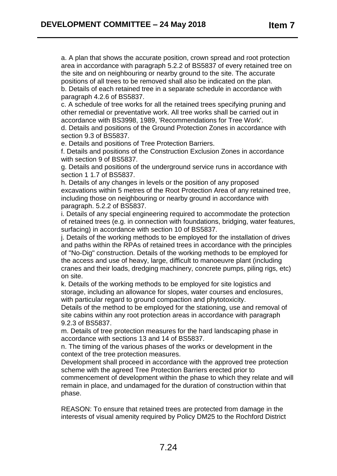a. A plan that shows the accurate position, crown spread and root protection area in accordance with paragraph 5.2.2 of BS5837 of every retained tree on the site and on neighbouring or nearby ground to the site. The accurate positions of all trees to be removed shall also be indicated on the plan. b. Details of each retained tree in a separate schedule in accordance with paragraph 4.2.6 of BS5837.

c. A schedule of tree works for all the retained trees specifying pruning and other remedial or preventative work. All tree works shall be carried out in accordance with BS3998, 1989, 'Recommendations for Tree Work'.

d. Details and positions of the Ground Protection Zones in accordance with section 9.3 of BS5837.

e. Details and positions of Tree Protection Barriers.

f. Details and positions of the Construction Exclusion Zones in accordance with section 9 of BS5837.

g. Details and positions of the underground service runs in accordance with section 1 1.7 of BS5837.

h. Details of any changes in levels or the position of any proposed excavations within 5 metres of the Root Protection Area of any retained tree, including those on neighbouring or nearby ground in accordance with paragraph. 5.2.2 of BS5837.

i. Details of any special engineering required to accommodate the protection of retained trees (e.g. in connection with foundations, bridging, water features, surfacing) in accordance with section 10 of BS5837.

j. Details of the working methods to be employed for the installation of drives and paths within the RPAs of retained trees in accordance with the principles of "No-Dig" construction. Details of the working methods to be employed for the access and use of heavy, large, difficult to manoeuvre plant (including cranes and their loads, dredging machinery, concrete pumps, piling rigs, etc) on site.

k. Details of the working methods to be employed for site logistics and storage, including an allowance for slopes, water courses and enclosures, with particular regard to ground compaction and phytotoxicity.

Details of the method to be employed for the stationing, use and removal of site cabins within any root protection areas in accordance with paragraph 9.2.3 of BS5837.

m. Details of tree protection measures for the hard landscaping phase in accordance with sections 13 and 14 of BS5837.

n. The timing of the various phases of the works or development in the context of the tree protection measures.

Development shall proceed in accordance with the approved tree protection scheme with the agreed Tree Protection Barriers erected prior to commencement of development within the phase to which they relate and will remain in place, and undamaged for the duration of construction within that phase.

REASON: To ensure that retained trees are protected from damage in the interests of visual amenity required by Policy DM25 to the Rochford District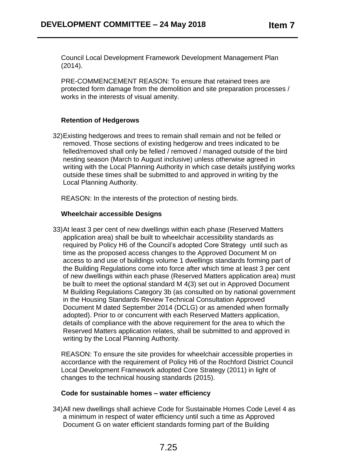Council Local Development Framework Development Management Plan (2014).

PRE-COMMENCEMENT REASON: To ensure that retained trees are protected form damage from the demolition and site preparation processes / works in the interests of visual amenity.

# **Retention of Hedgerows**

32)Existing hedgerows and trees to remain shall remain and not be felled or removed. Those sections of existing hedgerow and trees indicated to be felled/removed shall only be felled / removed / managed outside of the bird nesting season (March to August inclusive) unless otherwise agreed in writing with the Local Planning Authority in which case details justifying works outside these times shall be submitted to and approved in writing by the Local Planning Authority.

REASON: In the interests of the protection of nesting birds.

#### **Wheelchair accessible Designs**

33)At least 3 per cent of new dwellings within each phase (Reserved Matters application area) shall be built to wheelchair accessibility standards as required by Policy H6 of the Council's adopted Core Strategy until such as time as the proposed access changes to the Approved Document M on access to and use of buildings volume 1 dwellings standards forming part of the Building Regulations come into force after which time at least 3 per cent of new dwellings within each phase (Reserved Matters application area) must be built to meet the optional standard M 4(3) set out in Approved Document M Building Regulations Category 3b (as consulted on by national government in the Housing Standards Review Technical Consultation Approved Document M dated September 2014 (DCLG) or as amended when formally adopted). Prior to or concurrent with each Reserved Matters application, details of compliance with the above requirement for the area to which the Reserved Matters application relates, shall be submitted to and approved in writing by the Local Planning Authority.

REASON: To ensure the site provides for wheelchair accessible properties in accordance with the requirement of Policy H6 of the Rochford District Council Local Development Framework adopted Core Strategy (2011) in light of changes to the technical housing standards (2015).

#### **Code for sustainable homes – water efficiency**

34)All new dwellings shall achieve Code for Sustainable Homes Code Level 4 as a minimum in respect of water efficiency until such a time as Approved Document G on water efficient standards forming part of the Building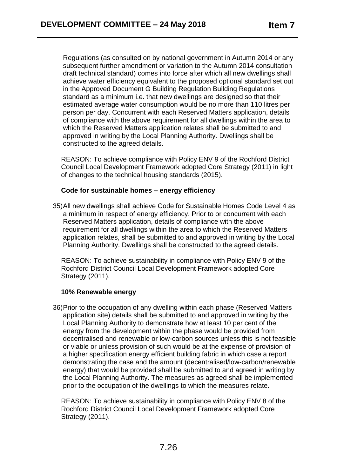Regulations (as consulted on by national government in Autumn 2014 or any subsequent further amendment or variation to the Autumn 2014 consultation draft technical standard) comes into force after which all new dwellings shall achieve water efficiency equivalent to the proposed optional standard set out in the Approved Document G Building Regulation Building Regulations standard as a minimum i.e. that new dwellings are designed so that their estimated average water consumption would be no more than 110 litres per person per day. Concurrent with each Reserved Matters application, details of compliance with the above requirement for all dwellings within the area to which the Reserved Matters application relates shall be submitted to and approved in writing by the Local Planning Authority. Dwellings shall be constructed to the agreed details.

REASON: To achieve compliance with Policy ENV 9 of the Rochford District Council Local Development Framework adopted Core Strategy (2011) in light of changes to the technical housing standards (2015).

#### **Code for sustainable homes – energy efficiency**

35)All new dwellings shall achieve Code for Sustainable Homes Code Level 4 as a minimum in respect of energy efficiency. Prior to or concurrent with each Reserved Matters application, details of compliance with the above requirement for all dwellings within the area to which the Reserved Matters application relates, shall be submitted to and approved in writing by the Local Planning Authority. Dwellings shall be constructed to the agreed details.

REASON: To achieve sustainability in compliance with Policy ENV 9 of the Rochford District Council Local Development Framework adopted Core Strategy (2011).

#### **10% Renewable energy**

36)Prior to the occupation of any dwelling within each phase (Reserved Matters application site) details shall be submitted to and approved in writing by the Local Planning Authority to demonstrate how at least 10 per cent of the energy from the development within the phase would be provided from decentralised and renewable or low-carbon sources unless this is not feasible or viable or unless provision of such would be at the expense of provision of a higher specification energy efficient building fabric in which case a report demonstrating the case and the amount (decentralised/low-carbon/renewable energy) that would be provided shall be submitted to and agreed in writing by the Local Planning Authority. The measures as agreed shall be implemented prior to the occupation of the dwellings to which the measures relate.

REASON: To achieve sustainability in compliance with Policy ENV 8 of the Rochford District Council Local Development Framework adopted Core Strategy (2011).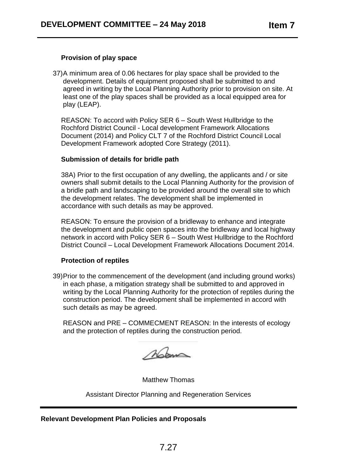# **Provision of play space**

37)A minimum area of 0.06 hectares for play space shall be provided to the development. Details of equipment proposed shall be submitted to and agreed in writing by the Local Planning Authority prior to provision on site. At least one of the play spaces shall be provided as a local equipped area for play (LEAP).

REASON: To accord with Policy SER 6 – South West Hullbridge to the Rochford District Council - Local development Framework Allocations Document (2014) and Policy CLT 7 of the Rochford District Council Local Development Framework adopted Core Strategy (2011).

#### **Submission of details for bridle path**

38A) Prior to the first occupation of any dwelling, the applicants and / or site owners shall submit details to the Local Planning Authority for the provision of a bridle path and landscaping to be provided around the overall site to which the development relates. The development shall be implemented in accordance with such details as may be approved.

REASON: To ensure the provision of a bridleway to enhance and integrate the development and public open spaces into the bridleway and local highway network in accord with Policy SER 6 – South West Hullbridge to the Rochford District Council – Local Development Framework Allocations Document 2014.

#### **Protection of reptiles**

39)Prior to the commencement of the development (and including ground works) in each phase, a mitigation strategy shall be submitted to and approved in writing by the Local Planning Authority for the protection of reptiles during the construction period. The development shall be implemented in accord with such details as may be agreed.

REASON and PRE – COMMECMENT REASON: In the interests of ecology and the protection of reptiles during the construction period.

Mom

Matthew Thomas

Assistant Director Planning and Regeneration Services

**Relevant Development Plan Policies and Proposals**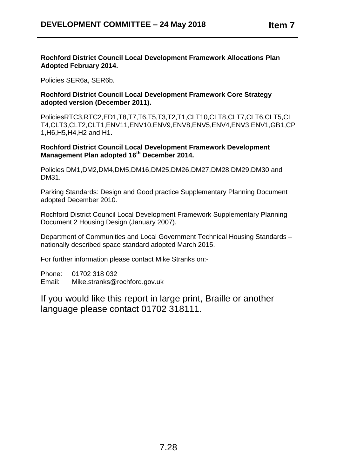#### **Rochford District Council Local Development Framework Allocations Plan Adopted February 2014.**

Policies SER6a, SER6b.

## **Rochford District Council Local Development Framework Core Strategy adopted version (December 2011).**

PoliciesRTC3,RTC2,ED1,T8,T7,T6,T5,T3,T2,T1,CLT10,CLT8,CLT7,CLT6,CLT5,CL T4,CLT3,CLT2,CLT1,ENV11,ENV10,ENV9,ENV8,ENV5,ENV4,ENV3,ENV1,GB1,CP 1,H6,H5,H4,H2 and H1.

## **Rochford District Council Local Development Framework Development Management Plan adopted 16th December 2014.**

Policies DM1,DM2,DM4,DM5,DM16,DM25,DM26,DM27,DM28,DM29,DM30 and DM31.

Parking Standards: Design and Good practice Supplementary Planning Document adopted December 2010.

Rochford District Council Local Development Framework Supplementary Planning Document 2 Housing Design (January 2007).

Department of Communities and Local Government Technical Housing Standards – nationally described space standard adopted March 2015.

For further information please contact Mike Stranks on:-

Phone: 01702 318 032 Email: Mike.stranks@rochford.gov.uk

If you would like this report in large print, Braille or another language please contact 01702 318111.